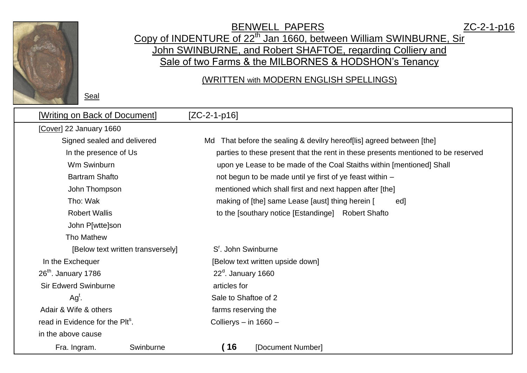

Seal

## BENWELL PAPERS ZC-2-1-p16 Copy of INDENTURE of 22<sup>th</sup> Jan 1660, between William SWINBURNE, Sir John SWINBURNE, and Robert SHAFTOE, regarding Colliery and Sale of two Farms & the MILBORNES & HODSHON's Tenancy

## (WRITTEN with MODERN ENGLISH SPELLINGS)

| [Writing on Back of Document]               | $[ZC-2-1-p16]$                                                                                                                                                                                                         |  |  |  |  |  |  |
|---------------------------------------------|------------------------------------------------------------------------------------------------------------------------------------------------------------------------------------------------------------------------|--|--|--|--|--|--|
| [Cover] 22 January 1660                     |                                                                                                                                                                                                                        |  |  |  |  |  |  |
| Signed sealed and delivered                 | That before the sealing & devilry hereof [lis] agreed between [the]<br>Md                                                                                                                                              |  |  |  |  |  |  |
| In the presence of Us                       | parties to these present that the rent in these presents mentioned to be reserved<br>upon ye Lease to be made of the Coal Staiths within [mentioned] Shall<br>not begun to be made until ye first of ye feast within - |  |  |  |  |  |  |
| Wm Swinburn                                 |                                                                                                                                                                                                                        |  |  |  |  |  |  |
| <b>Bartram Shafto</b>                       |                                                                                                                                                                                                                        |  |  |  |  |  |  |
| John Thompson                               | mentioned which shall first and next happen after [the]                                                                                                                                                                |  |  |  |  |  |  |
| Tho: Wak                                    | making of [the] same Lease [aust] thing herein [<br>ed]                                                                                                                                                                |  |  |  |  |  |  |
| <b>Robert Wallis</b>                        | to the [southary notice [Estandinge] Robert Shafto                                                                                                                                                                     |  |  |  |  |  |  |
| John P[wtte]son                             |                                                                                                                                                                                                                        |  |  |  |  |  |  |
| Tho Mathew                                  |                                                                                                                                                                                                                        |  |  |  |  |  |  |
| [Below text written transversely]           | S <sup>r</sup> . John Swinburne                                                                                                                                                                                        |  |  |  |  |  |  |
| In the Exchequer                            | [Below text written upside down]                                                                                                                                                                                       |  |  |  |  |  |  |
| $26th$ . January 1786                       | $22^{\circ}$ . January 1660                                                                                                                                                                                            |  |  |  |  |  |  |
| <b>Sir Edwerd Swinburne</b>                 | articles for                                                                                                                                                                                                           |  |  |  |  |  |  |
| $Agt$ .                                     | Sale to Shaftoe of 2                                                                                                                                                                                                   |  |  |  |  |  |  |
| Adair & Wife & others                       | farms reserving the                                                                                                                                                                                                    |  |  |  |  |  |  |
| read in Evidence for the Plt <sup>s</sup> . | Collierys $-$ in 1660 $-$                                                                                                                                                                                              |  |  |  |  |  |  |
| in the above cause                          |                                                                                                                                                                                                                        |  |  |  |  |  |  |
| Swinburne<br>Fra. Ingram.                   | $^{\prime}$ 16<br>[Document Number]                                                                                                                                                                                    |  |  |  |  |  |  |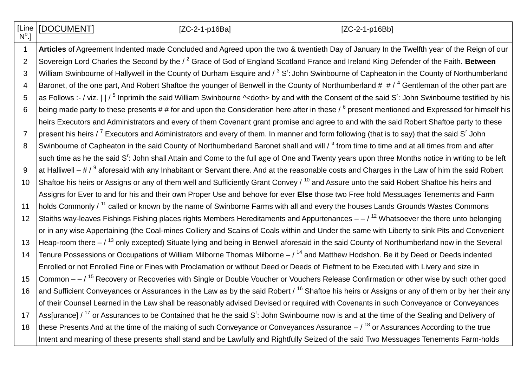**[Line**  $\mathsf{N}^\mathsf{o}$ .]

[DOCUMENT] [ZC-2-1-p16Ba] [ZC-2-1-p16Bb]

1 **Articles** of Agreement Indented made Concluded and Agreed upon the two & twentieth Day of January In the Twelfth year of the Reign of our 2 Sovereign Lord Charles the Second by the / <sup>2</sup> Grace of God of England Scotland France and Ireland King Defender of the Faith. **Between** 3 |William Swinbourne of Hallywell in the County of Durham Esquire and / <sup>3</sup> S<sup>r</sup>: John Swinbourne of Capheaton in the County of Northumberland 4 Baronet, of the one part, And Robert Shaftoe the younger of Benwell in the County of Northumberland  $\#$   $\#$  /  $\#$  Gentleman of the other part are 5 as Follows :- / viz.  $\vert\,\vert$  / <sup>5</sup> Inprimih the said William Swinbourne ^<doth> by and with the Consent of the said S<sup>r</sup>: John Swinbourne testified by his 6  $\,$  being made party to these presents # # for and upon the Consideration here after in these /  $^6$  present mentioned and Expressed for himself his heirs Executors and Administrators and every of them Covenant grant promise and agree to and with the said Robert Shaftoe party to these 7  $\,$  present his heirs /  $^7$  Executors and Administrators and every of them. In manner and form following (that is to say) that the said S<sup>r</sup> John 8 Swinbourne of Capheaton in the said County of Northumberland Baronet shall and will / <sup>8</sup> from time to time and at all times from and after such time as he the said S<sup>r</sup>: John shall Attain and Come to the full age of One and Twenty years upon three Months notice in writing to be left 9 |at Halliwell – # /  $^9$  aforesaid with any Inhabitant or Servant there. And at the reasonable costs and Charges in the Law of him the said Robert 10 Shaftoe his heirs or Assigns or any of them well and Sufficiently Grant Convey / <sup>10</sup> and Assure unto the said Robert Shaftoe his heirs and Assigns for Ever to and for his and their own Proper Use and behove for ever **Else** those two Free hold Messuages Tenements and Farm 11 | holds Commonly / <sup>11</sup> called or known by the name of Swinborne Farms with all and every the houses Lands Grounds Wastes Commons 12 Staiths way-leaves Fishings Fishing places rights Members Hereditaments and Appurtenances  $-$  /  $^{12}$  Whatsoever the there unto belonging or in any wise Appertaining (the Coal-mines Colliery and Scains of Coals within and Under the same with Liberty to sink Pits and Convenient 13 Heap-room there  $/$  <sup>13</sup> only excepted) Situate lying and being in Benwell aforesaid in the said County of Northumberland now in the Several 14 | Tenure Possessions or Occupations of William Milborne Thomas Milborne – / <sup>14</sup> and Matthew Hodshon. Be it by Deed or Deeds indented Enrolled or not Enrolled Fine or Fines with Proclamation or without Deed or Deeds of Fiefment to be Executed with Livery and size in 15 Common  $-$  / <sup>15</sup> Recovery or Recoveries with Single or Double Voucher or Vouchers Release Confirmation or other wise by such other good 16 and Sufficient Conveyances or Assurances in the Law as by the said Robert / <sup>16</sup> Shaftoe his heirs or Assigns or any of them or by her their any of their Counsel Learned in the Law shall be reasonably advised Devised or required with Covenants in such Conveyance or Conveyances 17 Ass[urance] / <sup>17</sup> or Assurances to be Contained that he the said S<sup>r</sup>: John Swinbourne now is and at the time of the Sealing and Delivery of 18 these Presents And at the time of the making of such Conveyance or Conveyances Assurance  $-1^{18}$  or Assurances According to the true Intent and meaning of these presents shall stand and be Lawfully and Rightfully Seized of the said Two Messuages Tenements Farm-holds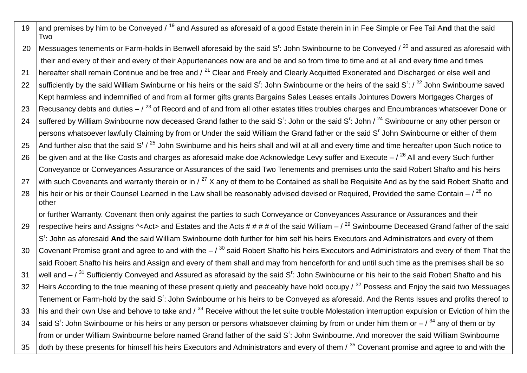- 19 and premises by him to be Conveyed / <sup>19</sup> and Assured as aforesaid of a good Estate therein in in Fee Simple or Fee Tail A**nd** that the said Two
- 20 |Messuages tenements or Farm-holds in Benwell aforesaid by the said S<sup>r</sup>: John Swinbourne to be Conveyed / <sup>20</sup> and assured as aforesaid with their and every of their and every of their Appurtenances now are and be and so from time to time and at all and every time and times
- 21 | hereafter shall remain Continue and be free and / <sup>21</sup> Clear and Freely and Clearly Acquitted Exonerated and Discharged or else well and 22 Sufficiently by the said William Swinburne or his heirs or the said S<sup>r</sup>: John Swinbourne or the heirs of the said S<sup>r</sup>: / <sup>22</sup> John Swinbourne saved Kept harmless and indemnified of and from all former gifts grants Bargains Sales Leases entails Jointures Dowers Mortgages Charges of
- 23 Recusancy debts and duties  $-$  /  $^{23}$  of Record and of and from all other estates titles troubles charges and Encumbrances whatsoever Done or
- 24 Suffered by William Swinbourne now deceased Grand father to the said S': John or the said S': John / <sup>24</sup> Swinbourne or any other person or persons whatsoever lawfully Claiming by from or Under the said William the Grand father or the said S<sup>r</sup> John Swinbourne or either of them
- 25 And further also that the said S<sup>r</sup> / <sup>25</sup> John Swinburne and his heirs shall and will at all and every time and time hereafter upon Such notice to
- 26  $\vert$  be given and at the like Costs and charges as aforesaid make doe Acknowledge Levy suffer and Execute  $\vert$ <sup>26</sup> All and every Such further Conveyance or Conveyances Assurance or Assurances of the said Two Tenements and premises unto the said Robert Shafto and his heirs
- 27 with such Covenants and warranty therein or in /  $^{27}$  X any of them to be Contained as shall be Requisite And as by the said Robert Shafto and
- 28  $\vert$ his heir or his or their Counsel Learned in the Law shall be reasonably advised devised or Required, Provided the same Contain  $\vert^{28}$  no other

or further Warranty. Covenant then only against the parties to such Conveyance or Conveyances Assurance or Assurances and their

29  $\vert$  respective heirs and Assigns  $\sim$  Act> and Estates and the Acts # # #  $\mu$  of the said William –  $\vert$ <sup>29</sup> Swinbourne Deceased Grand father of the said S<sup>r</sup>: John as aforesaid And the said William Swinbourne doth further for him self his heirs Executors and Administrators and every of them 30 Covenant Promise grant and agree to and with the  $-$  /  $30$  said Robert Shafto his heirs Executors and Administrators and every of them That the said Robert Shafto his heirs and Assign and every of them shall and may from henceforth for and until such time as the premises shall be so 31 |well and – / <sup>31</sup> Sufficiently Conveyed and Assured as aforesaid by the said S<sup>r</sup>: John Swinbourne or his heir to the said Robert Shafto and his 32 Heirs According to the true meaning of these present quietly and peaceably have hold occupy / <sup>32</sup> Possess and Enjoy the said two Messuages Tenement or Farm-hold by the said S<sup>r</sup>: John Swinbourne or his heirs to be Conveyed as aforesaid. And the Rents Issues and profits thereof to 33 his and their own Use and behove to take and / <sup>33</sup> Receive without the let suite trouble Molestation interruption expulsion or Eviction of him the 34 Said S<sup>r</sup>: John Swinbourne or his heirs or any person or persons whatsoever claiming by from or under him them or  $-$  /  $^{34}$  any of them or by from or under William Swinbourne before named Grand father of the said S<sup>r</sup>: John Swinbourne. And moreover the said William Swinbourne 35 doth by these presents for himself his heirs Executors and Administrators and every of them / <sup>35</sup> Covenant promise and agree to and with the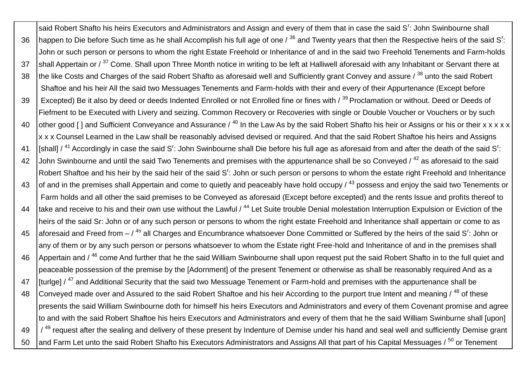said Robert Shafto his heirs Executors and Administrators and Assign and every of them that in case the said S<sup>r</sup>: John Swinbourne shall 36 happen to Die before Such time as he shall Accomplish his full age of one / <sup>36</sup> and Twenty years that then the Respective heirs of the said S<sup>r</sup> : John or such person or persons to whom the right Estate Freehold or Inheritance of and in the said two Freehold Tenements and Farm-holds 37 Shall Appertain or / <sup>37</sup> Come. Shall upon Three Month notice in writing to be left at Halliwell aforesaid with any Inhabitant or Servant there at 38 the like Costs and Charges of the said Robert Shafto as aforesaid well and Sufficiently grant Convey and assure / 38 unto the said Robert Shaftoe and his heir All the said two Messuages Tenements and Farm-holds with their and every of their Appurtenance (Except before 39 Excepted) Be it also by deed or deeds Indented Enrolled or not Enrolled fine or fines with / 39 Proclamation or without. Deed or Deeds of Fiefment to be Executed with Livery and seizing. Common Recovery or Recoveries with single or Double Voucher or Vouchers or by such 40 other good [ ] and Sufficient Conveyance and Assurance  $/$  <sup>40</sup> In the Law As by the said Robert Shafto his heir or Assigns or his or their x x x x x x x x Counsel Learned in the Law shall be reasonably advised devised or required. And that the said Robert Shaftoe his heirs and Assigns 41 |[shall] / <sup>41</sup> Accordingly in case the said S<sup>r</sup>: John Swinbourne shall Die before his full age as aforesaid from and after the death of the said S<sup>r</sup>: 42 John Swinbourne and until the said Two Tenements and premises with the appurtenance shall be so Conveved / <sup>42</sup> as aforesaid to the said Robert Shaftoe and his heir by the said heir of the said S<sup>r</sup>: John or such person or persons to whom the estate right Freehold and Inheritance 43  $\vert$  of and in the premises shall Appertain and come to quietly and peaceably have hold occupy /  $^{43}$  possess and enjoy the said two Tenements or Farm holds and all other the said premises to be Conveyed as aforesaid (Except before excepted) and the rents Issue and profits thereof to 44 Itake and receive to his and their own use without the Lawful / <sup>44</sup> Let Suite trouble Denial molestation Interruption Expulsion or Eviction of the heirs of the said Sr: John or of any such person or persons to whom the right estate Freehold and Inheritance shall appertain or come to as 45 |aforesaid and Freed from – / <sup>45</sup> all Charges and Encumbrance whatsoever Done Committed or Suffered by the heirs of the said S<sup>r</sup>: John or any of them or by any such person or persons whatsoever to whom the Estate right Free-hold and Inheritance of and in the premises shall 46 Appertain and / <sup>46</sup> come And further that he the said William Swinbourne shall upon request put the said Robert Shafto in to the full quiet and peaceable possession of the premise by the [Adornment] of the present Tenement or otherwise as shall be reasonably required And as a 47 | [turlge] / <sup>47</sup> and Additional Security that the said two Messuage Tenement or Farm-hold and premises with the appurtenance shall be 48 Conveyed made over and Assured to the said Robert Shaftoe and his heir According to the purport true Intent and meaning / <sup>48</sup> of these presents the said William Swinbourne doth for himself his heirs Executors and Administrators and every of them Covenant promise and agree to and with the said Robert Shaftoe his heirs Executors and Administrators and every of them that he the said William Swinburne shall [upon]  $49$   $\frac{1}{49}$  request after the sealing and delivery of these present by Indenture of Demise under his hand and seal well and sufficiently Demise grant 50 and Farm Let unto the said Robert Shafto his Executors Administrators and Assigns All that part of his Capital Messuages / <sup>50</sup> or Tenement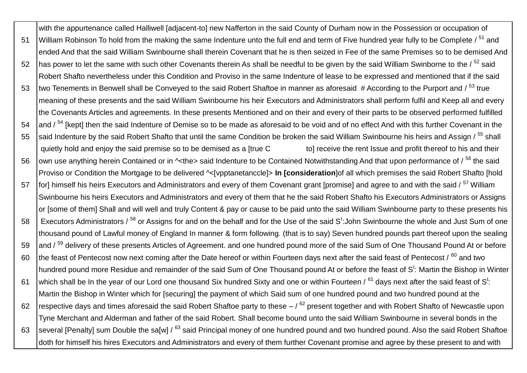with the appurtenance called Halliwell [adjacent-to] new Nafferton in the said County of Durham now in the Possession or occupation of 51 William Robinson To hold from the making the same Indenture unto the full end and term of Five hundred year fully to be Complete / <sup>51</sup> and ended And that the said William Swinbourne shall therein Covenant that he is then seized in Fee of the same Premises so to be demised And 52 has power to let the same with such other Covenants therein As shall be needful to be given by the said William Swinborne to the /  $^{52}$  said Robert Shafto nevertheless under this Condition and Proviso in the same Indenture of lease to be expressed and mentioned that if the said 53 two Tenements in Benwell shall be Conveyed to the said Robert Shaftoe in manner as aforesaid # According to the Purport and / <sup>53</sup> true meaning of these presents and the said William Swinbourne his heir Executors and Administrators shall perform fulfil and Keep all and every the Covenants Articles and agreements. In these presents Mentioned and on their and every of their parts to be observed performed fulfilled 54 and /<sup>54</sup> [kept] then the said Indenture of Demise so to be made as aforesaid to be void and of no effect And with this further Covenant in the 55 Said Indenture by the said Robert Shafto that until the same Condition be broken the said William Swinbourne his heirs and Assign / <sup>55</sup> shall quietly hold and enjoy the said premise so to be demised as a [true C to] receive the rent Issue and profit thereof to his and their 56 own use anything herein Contained or in  $\sim$ the> said Indenture to be Contained Notwithstanding And that upon performance of  $\sqrt{56}$  the said Proviso or Condition the Mortgage to be delivered ^<[vpptanetanccle]> **In [consideration**]of all which premises the said Robert Shafto [hold 57 for] himself his heirs Executors and Administrators and every of them Covenant grant [promise] and agree to and with the said / <sup>57</sup> William Swinbourne his heirs Executors and Administrators and every of them that he the said Robert Shafto his Executors Administrators or Assigns or [some of them] Shall and will well and truly Content & pay or cause to be paid unto the said William Swinbourne party to these presents his 58 L Executors Administrators / <sup>58</sup> or Assigns for and on the behalf and for the Use of the said S<sup>r</sup>:John Swinbourne the whole and Just Sum of one thousand pound of Lawful money of England In manner & form following. (that is to say) Seven hundred pounds part thereof upon the sealing 59 and /<sup>59</sup> delivery of these presents Articles of Agreement. and one hundred pound more of the said Sum of One Thousand Pound At or before 60 the feast of Pentecost now next coming after the Date hereof or within Fourteen days next after the said feast of Pentecost /  $^{60}$  and two hundred pound more Residue and remainder of the said Sum of One Thousand pound At or before the feast of S<sup>t</sup>: Martin the Bishop in Winter 61 which shall be In the year of our Lord one thousand Six hundred Sixty and one or within Fourteen /  $^{61}$  days next after the said feast of St: Martin the Bishop in Winter which for [securing] the payment of which Said sum of one hundred pound and two hundred pound at the 62 respective days and times aforesaid the said Robert Shaftoe party to these  $/$ <sup>62</sup> present together and with Robert Shafto of Newcastle upon Tyne Merchant and Alderman and father of the said Robert. Shall become bound unto the said William Swinbourne in several bonds in the 63 Several [Penalty] sum Double the sa[w] / <sup>63</sup> said Principal money of one hundred pound and two hundred pound. Also the said Robert Shaftoe doth for himself his hires Executors and Administrators and every of them further Covenant promise and agree by these present to and with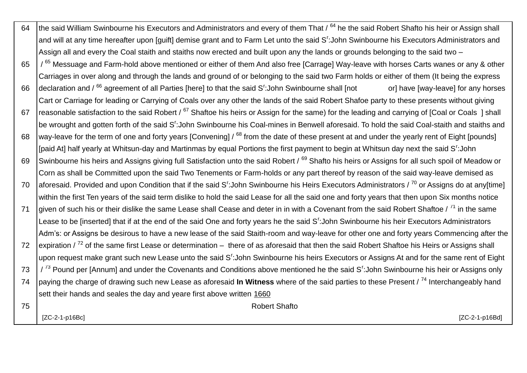| 64 | the said William Swinbourne his Executors and Administrators and every of them That / <sup>64</sup> he the said Robert Shafto his heir or Assign shall                |
|----|-----------------------------------------------------------------------------------------------------------------------------------------------------------------------|
|    | and will at any time hereafter upon [guift] demise grant and to Farm Let unto the said S': John Swinbourne his Executors Administrators and                           |
|    | Assign all and every the Coal staith and staiths now erected and built upon any the lands or grounds belonging to the said two -                                      |
| 65 | / <sup>65</sup> Messuage and Farm-hold above mentioned or either of them And also free [Carrage] Way-leave with horses Carts wanes or any & other                     |
|    | Carriages in over along and through the lands and ground of or belonging to the said two Farm holds or either of them (It being the express                           |
| 66 | declaration and / <sup>66</sup> agreement of all Parties [here] to that the said S <sup>r</sup> : John Swinbourne shall [not<br>or] have [way-leave] for any horses   |
|    | Cart or Carriage for leading or Carrying of Coals over any other the lands of the said Robert Shafoe party to these presents without giving                           |
| 67 | reasonable satisfaction to the said Robert / <sup>67</sup> Shaftoe his heirs or Assign for the same) for the leading and carrying of [Coal or Coals ] shall           |
|    | be wrought and gotten forth of the said S <sup>r</sup> : John Swinbourne his Coal-mines in Benwell aforesaid. To hold the said Coal-staith and staiths and            |
| 68 | way-leave for the term of one and forty years [Convening] / <sup>68</sup> from the date of these present at and under the yearly rent of Eight [pounds]               |
|    | [paid At] half yearly at Whitsun-day and Martinmas by equal Portions the first payment to begin at Whitsun day next the said S <sup>r</sup> :John                     |
| 69 | Swinbourne his heirs and Assigns giving full Satisfaction unto the said Robert / 69 Shafto his heirs or Assigns for all such spoil of Meadow or                       |
|    | Corn as shall be Committed upon the said Two Tenements or Farm-holds or any part thereof by reason of the said way-leave demised as                                   |
| 70 | aforesaid. Provided and upon Condition that if the said S <sup>r</sup> :John Swinbourne his Heirs Executors Administrators / <sup>70</sup> or Assigns do at any[time] |
|    | within the first Ten years of the said term dislike to hold the said Lease for all the said one and forty years that then upon Six months notice                      |
| 71 | given of such his or their dislike the same Lease shall Cease and deter in in with a Covenant from the said Robert Shaftoe / <sup>71</sup> in the same                |
|    | Lease to be [inserted] that if at the end of the said One and forty years he the said S <sup>r</sup> :John Swinbourne his heir Executors Administrators               |
|    | Adm's: or Assigns be desirous to have a new lease of the said Staith-room and way-leave for other one and forty years Commencing after the                            |
| 72 | expiration $7^{2}$ of the same first Lease or determination – there of as aforesaid that then the said Robert Shaftoe his Heirs or Assigns shall                      |
|    | upon request make grant such new Lease unto the said S <sup>r</sup> : John Swinbourne his heirs Executors or Assigns At and for the same rent of Eight                |
| 73 | / <sup>73</sup> Pound per [Annum] and under the Covenants and Conditions above mentioned he the said S <sup>r</sup> :John Swinbourne his heir or Assigns only         |
| 74 | paying the charge of drawing such new Lease as aforesaid In Witness where of the said parties to these Present / 74 Interchangeably hand                              |
|    | sett their hands and seales the day and yeare first above written 1660                                                                                                |
| 75 | <b>Robert Shafto</b>                                                                                                                                                  |
|    | [ZC-2-1-p16Bc]<br>[ZC-2-1-p16Bd]                                                                                                                                      |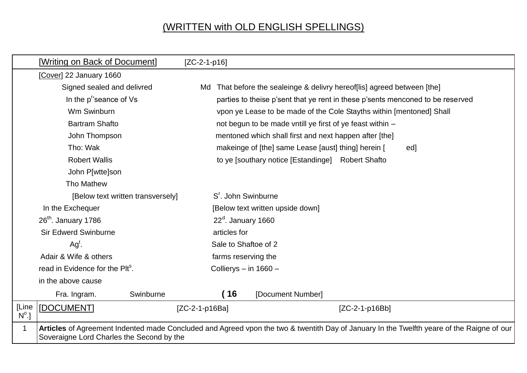## (WRITTEN with OLD ENGLISH SPELLINGS)

|                       | [Writing on Back of Document]                                                                                  |           |                                                                                                                                   | $[ZC-2-1-p16]$                                                                 |                   |                                                                       |                                                                                                                                           |  |  |
|-----------------------|----------------------------------------------------------------------------------------------------------------|-----------|-----------------------------------------------------------------------------------------------------------------------------------|--------------------------------------------------------------------------------|-------------------|-----------------------------------------------------------------------|-------------------------------------------------------------------------------------------------------------------------------------------|--|--|
|                       | [Cover] 22 January 1660                                                                                        |           |                                                                                                                                   |                                                                                |                   |                                                                       |                                                                                                                                           |  |  |
|                       | Signed sealed and delivred                                                                                     |           |                                                                                                                                   |                                                                                |                   | That before the sealeinge & delivry hereof [lis] agreed between [the] |                                                                                                                                           |  |  |
|                       | In the p <sup>r</sup> seance of Vs                                                                             |           |                                                                                                                                   | parties to theise p'sent that ye rent in these p'sents menconed to be reserved |                   |                                                                       |                                                                                                                                           |  |  |
|                       | Wm Swinburn                                                                                                    |           | vpon ye Lease to be made of the Cole Stayths within [mentoned] Shall<br>not begun to be made vntill ye first of ye feast within - |                                                                                |                   |                                                                       |                                                                                                                                           |  |  |
|                       | <b>Bartram Shafto</b>                                                                                          |           |                                                                                                                                   |                                                                                |                   |                                                                       |                                                                                                                                           |  |  |
|                       | John Thompson<br>Tho: Wak<br><b>Robert Wallis</b>                                                              |           | mentoned which shall first and next happen after [the]<br>makeinge of [the] same Lease [aust] thing] herein [<br>ed]              |                                                                                |                   |                                                                       |                                                                                                                                           |  |  |
|                       |                                                                                                                |           |                                                                                                                                   |                                                                                |                   |                                                                       |                                                                                                                                           |  |  |
|                       |                                                                                                                |           |                                                                                                                                   | to ye [southary notice [Estandinge] Robert Shafto                              |                   |                                                                       |                                                                                                                                           |  |  |
|                       | John P[wtte]son                                                                                                |           |                                                                                                                                   |                                                                                |                   |                                                                       |                                                                                                                                           |  |  |
|                       | Tho Mathew                                                                                                     |           |                                                                                                                                   |                                                                                |                   |                                                                       |                                                                                                                                           |  |  |
|                       | [Below text written transversely]<br>In the Exchequer                                                          |           | S <sup>r</sup> . John Swinburne                                                                                                   |                                                                                |                   |                                                                       |                                                                                                                                           |  |  |
|                       |                                                                                                                |           | [Below text written upside down]                                                                                                  |                                                                                |                   |                                                                       |                                                                                                                                           |  |  |
|                       | $26th$ . January 1786                                                                                          |           | $22d$ . January 1660                                                                                                              |                                                                                |                   |                                                                       |                                                                                                                                           |  |  |
|                       | <b>Sir Edwerd Swinburne</b><br>$Agt$ .<br>Adair & Wife & others<br>read in Evidence for the Plt <sup>s</sup> . |           | articles for                                                                                                                      |                                                                                |                   |                                                                       |                                                                                                                                           |  |  |
|                       |                                                                                                                |           | Sale to Shaftoe of 2                                                                                                              |                                                                                |                   |                                                                       |                                                                                                                                           |  |  |
|                       |                                                                                                                |           | farms reserving the                                                                                                               |                                                                                |                   |                                                                       |                                                                                                                                           |  |  |
|                       |                                                                                                                |           | Collierys - in 1660 -                                                                                                             |                                                                                |                   |                                                                       |                                                                                                                                           |  |  |
|                       | in the above cause                                                                                             |           |                                                                                                                                   |                                                                                |                   |                                                                       |                                                                                                                                           |  |  |
|                       | Fra. Ingram.                                                                                                   | Swinburne |                                                                                                                                   | (16                                                                            | [Document Number] |                                                                       |                                                                                                                                           |  |  |
| [Line<br>$N^{\circ}.$ | [DOCUMENT]                                                                                                     |           | $[ZC-2-1-p16Ba]$                                                                                                                  |                                                                                |                   | $[ZC-2-1-p16Bb]$                                                      |                                                                                                                                           |  |  |
| 1                     | Soveraigne Lord Charles the Second by the                                                                      |           |                                                                                                                                   |                                                                                |                   |                                                                       | Articles of Agreement Indented made Concluded and Agreed vpon the two & twentith Day of January In the Twelfth yeare of the Raigne of our |  |  |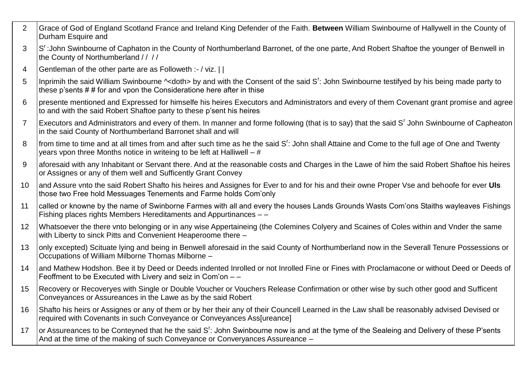- 2 Grace of God of England Scotland France and Ireland King Defender of the Faith. **Between** William Swinbourne of Hallywell in the County of Durham Esquire and
- 3 S':John Swinbourne of Caphaton in the County of Northumberland Barronet, of the one parte, And Robert Shaftoe the younger of Benwell in the County of Northumberland // //
- 4 Gentleman of the other parte are as Followeth :- / viz. | |
- 5 |Inprimih the said William Swinbourne ^<doth> by and with the Consent of the said S<sup>r</sup>: John Swinbourne testifyed by his being made party to these p'sents # # for and vpon the Consideratione here after in thise
- 6 presente mentioned and Expressed for himselfe his heires Executors and Administrators and every of them Covenant grant promise and agree to and with the said Robert Shaftoe party to these p'sent his heires
- 7 | Executors and Administrators and every of them. In manner and forme following (that is to say) that the said S' John Swinbourne of Capheaton in the said County of Northumberland Barronet shall and will
- 8 | from time to time and at all times from and after such time as he the said S<sup>r</sup>: John shall Attaine and Come to the full age of One and Twenty years vpon three Months notice in writeing to be left at Halliwell – #
- 9 aforesaid with any Inhabitant or Servant there. And at the reasonable costs and Charges in the Lawe of him the said Robert Shaftoe his heires or Assignes or any of them well and Sufficently Grant Convey
- 10 and Assure vnto the said Robert Shafto his heires and Assignes for Ever to and for his and their owne Proper Vse and behoofe for ever **Uls** those two Free hold Messuages Tenements and Farme holds Com'only
- 11 called or knowne by the name of Swinborne Farmes with all and every the houses Lands Grounds Wasts Com'ons Staiths wayleaves Fishings Fishing places rights Members Hereditaments and Appurtinances – –
- 12 Whatsoever the there vnto belonging or in any wise Appertaineing (the Colemines Colyery and Scaines of Coles within and Vnder the same with Liberty to sinck Pitts and Convenient Heaperoome there -
- 13 | only excepted) Scituate Iving and being in Benwell aforesaid in the said County of Northumberland now in the Severall Tenure Possessions or Occupations of William Milborne Thomas Milborne –
- 14 and Mathew Hodshon. Bee it by Deed or Deeds indented Inrolled or not Inrolled Fine or Fines with Proclamacone or without Deed or Deeds of Feoffment to be Executed with Livery and seiz in Com'on – –
- 15 Recovery or Recoveryes with Single or Double Voucher or Vouchers Release Confirmation or other wise by such other good and Sufficent Conveyances or Assureances in the Lawe as by the said Robert
- 16 Shafto his heirs or Assignes or any of them or by her their any of their Councell Learned in the Law shall be reasonably advised Devised or required with Covenants in such Conveyance or Conveyances Ass[ureance]
- 17 or Assureances to be Conteyned that he the said S': John Swinbourne now is and at the tyme of the Sealeing and Delivery of these P'sents And at the time of the making of such Conveyance or Converyances Assureance –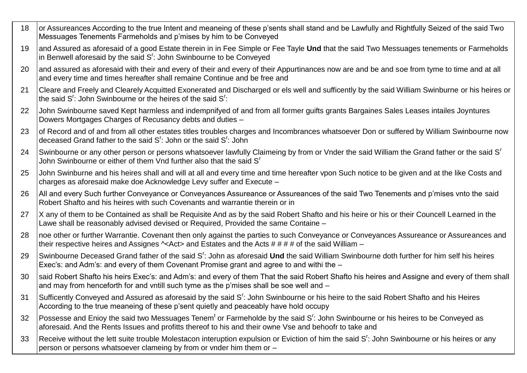- 18 or Assureances According to the true Intent and meaneing of these p'sents shall stand and be Lawfully and Rightfully Seized of the said Two Messuages Tenements Farmeholds and p'mises by him to be Conveyed
- 19 and Assured as aforesaid of a good Estate therein in in Fee Simple or Fee Tayle **Und** that the said Two Messuages tenements or Farmeholds in Benwell aforesaid by the said  $S<sup>r</sup>$ : John Swinbourne to be Conveyed
- 20 and assured as aforesaid with their and every of their and every of their Appurtinances now are and be and soe from tyme to time and at all and every time and times hereafter shall remaine Continue and be free and
- 21 Cleare and Freely and Clearely Acquitted Exonerated and Discharged or els well and sufficently by the said William Swinburne or his heires or the said  $S^r$ : John Swinbourne or the heires of the said  $S^r$ :
- 22 John Swinbourne saved Kept harmless and indempnifyed of and from all former guifts grants Bargaines Sales Leases intailes Joyntures Dowers Mortgages Charges of Recusancy debts and duties –
- 23 of Record and of and from all other estates titles troubles charges and Incombrances whatsoever Don or suffered by William Swinbourne now deceased Grand father to the said S<sup>r</sup>: John or the said S<sup>r</sup>: John
- 24 Swinbourne or any other person or persons whatsoever lawfully Claimeing by from or Vnder the said William the Grand father or the said S<sup>r</sup> John Swinbourne or either of them Vnd further also that the said S<sup>r</sup>
- 25 John Swinburne and his heires shall and will at all and every time and time hereafter vpon Such notice to be given and at the like Costs and charges as aforesaid make doe Acknowledge Levy suffer and Execute –
- 26 All and every Such further Convevance or Convevances Assureance or Assureances of the said Two Tenements and p'mises vnto the said Robert Shafto and his heires with such Covenants and warrantie therein or in
- 27 X any of them to be Contained as shall be Requisite And as by the said Robert Shafto and his heire or his or their Councell Learned in the Lawe shall be reasonably advised devised or Required, Provided the same Containe –
- 28 noe other or further Warrantie. Covenant then only against the parties to such Conveyance or Conveyances Assureance or Assureances and their respective heires and Assignes ^<Act> and Estates and the Acts # # # # of the said William –
- 29 Swinbourne Deceased Grand father of the said S<sup>r</sup>: John as aforesaid **Und** the said William Swinbourne doth further for him self his heires Exec's: and Adm's: and every of them Covenant Promise grant and agree to and withi the –
- 30 Isaid Robert Shafto his heirs Exec's: and Adm's: and every of them That the said Robert Shafto his heires and Assigne and every of them shall and may from henceforth for and vntill such tyme as the p'mises shall be soe well and -
- 31 Sufficently Conveyed and Assured as aforesaid by the said S<sup>r</sup>: John Swinbourne or his heire to the said Robert Shafto and his Heires According to the true meaneing of these p'sent quietly and peaceably have hold occupy
- 32 Possesse and Enioy the said two Messuages Tenem<sup>t</sup> or Farmeholde by the said S<sup>r</sup>: John Swinbourne or his heires to be Conveyed as aforesaid. And the Rents Issues and profitts thereof to his and their owne Vse and behoofr to take and
- 33 Receive without the lett suite trouble Molestacon interuption expulsion or Eviction of him the said S<sup>r</sup>: John Swinbourne or his heires or any person or persons whatsoever clameing by from or vnder him them or –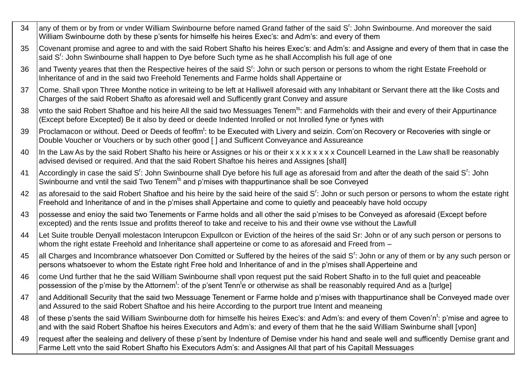- 34 |any of them or by from or vnder William Swinbourne before named Grand father of the said S<sup>r</sup>: John Swinbourne. And moreover the said William Swinbourne doth by these p'sents for himselfe his heires Exec's: and Adm's: and every of them
- 35 Covenant promise and agree to and with the said Robert Shafto his heires Exec's: and Adm's: and Assigne and every of them that in case the said S<sup>r</sup>: John Swinbourne shall happen to Dye before Such tyme as he shall Accomplish his full age of one
- 36  $\,$  and Twenty yeares that then the Respective heires of the said S<sup>r</sup>: John or such person or persons to whom the right Estate Freehold or Inheritance of and in the said two Freehold Tenements and Farme holds shall Appertaine or
- 37 Come. Shall vpon Three Monthe notice in writeing to be left at Halliwell aforesaid with any Inhabitant or Servant there att the like Costs and Charges of the said Robert Shafto as aforesaid well and Sufficently grant Convey and assure
- 38 Vnto the said Robert Shaftoe and his heire All the said two Messuages Tenem<sup>ts</sup>: and Farmeholds with their and every of their Appurtinance (Except before Excepted) Be it also by deed or deede Indented Inrolled or not Inrolled fyne or fynes with
- 39 Proclamacon or without. Deed or Deeds of feoffm<sup>t</sup>: to be Executed with Livery and seizin. Com'on Recovery or Recoveries with single or Double Voucher or Vouchers or by such other good [ ] and Sufficent Conveyance and Assureance
- 40 In the Law As by the said Robert Shafto his heire or Assignes or his or their x x x x x x x x x Councell Learned in the Law shall be reasonably advised devised or required. And that the said Robert Shaftoe his heires and Assignes [shall]
- 41 Accordingly in case the said S<sup>r</sup>: John Swinbourne shall Dye before his full age as aforesaid from and after the death of the said S<sup>r</sup>: John Swinbourne and vntil the said Two Tenem<sup>ts</sup> and p'mises with thappurtinance shall be soe Conveyed
- 42  $\,$  as aforesaid to the said Robert Shaftoe and his heire by the said heire of the said S<sup>r</sup>: John or such person or persons to whom the estate right Freehold and Inheritance of and in the p'mises shall Appertaine and come to quietly and peaceably have hold occupy
- 43 possesse and enioy the said two Tenements or Farme holds and all other the said p'mises to be Conveyed as aforesaid (Except before excepted) and the rents Issue and profitts thereof to take and receive to his and their owne vse without the Lawfull
- 44 Let Suite trouble Denyall molestacon Interupcon Expullcon or Eviction of the heires of the said Sr: John or of any such person or persons to whom the right estate Freehold and Inheritance shall apperteine or come to as aforesaid and Freed from  $-$
- 45 |all Charges and Incombrance whatsoever Don Comitted or Suffered by the heires of the said S<sup>r</sup>: John or any of them or by any such person or persons whatsoever to whom the Estate right Free hold and Inheritance of and in the p'mises shall Apperteine and
- 46 come Und further that he the said William Swinbourne shall vpon request put the said Robert Shafto in to the full quiet and peaceable possession of the p'mise by the Attornem<sup>t</sup>: of the p'sent Tenn<sup>t</sup>e or otherwise as shall be reasonably required And as a [turlge]
- 47 and Additionall Security that the said two Messuage Tenement or Farme holde and p'mises with thappurtinance shall be Conveyed made over and Assured to the said Robert Shaftoe and his heire According to the purport true Intent and meaneing
- 48 |of these p'sents the said William Swinbourne doth for himselfe his heires Exec's: and Adm's: and every of them Coven'n<sup>t</sup>: p'mise and agree to and with the said Robert Shaftoe his heires Executors and Adm's: and every of them that he the said William Swinburne shall [vpon]
- 49 Irequest after the sealeing and delivery of these p'sent by Indenture of Demise ynder his hand and seale well and sufficently Demise grant and Farme Lett vnto the said Robert Shafto his Executors Adm's: and Assignes All that part of his Capitall Messuages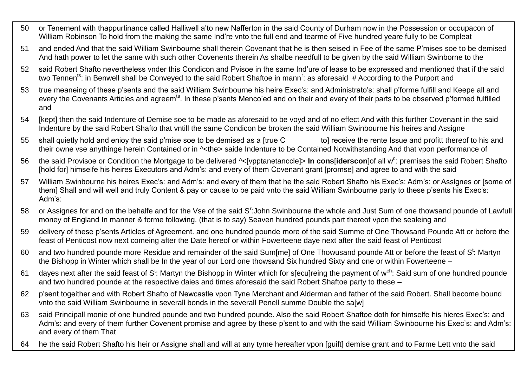- 50 or Tenement with thappurtinance called Halliwell a'to new Nafferton in the said County of Durham now in the Possession or occupacon of William Robinson To hold from the making the same Ind're vnto the full end and tearme of Five hundred yeare fully to be Compleat
- 51 and ended And that the said William Swinbourne shall therein Covenant that he is then seised in Fee of the same P'mises soe to be demised And hath power to let the same with such other Covenents therein As shalbe needfull to be given by the said William Swinborne to the
- 52 Isaid Robert Shafto nevertheless vnder this Condicon and Pvisoe in the same Ind'ure of lease to be expressed and mentioned that if the said two Tennen<sup>ts</sup>: in Benwell shall be Conveyed to the said Robert Shaftoe in mann<sup>r</sup>: as aforesaid #According to the Purport and
- 53 | true meaneing of these p'sents and the said William Swinbourne his heire Exec's: and Administrato's: shall p'forme fulfill and Keepe all and every the Covenants Articles and agreem<sup>ts</sup>. In these p'sents Menco'ed and on their and every of their parts to be observed p'formed fulfilled and
- 54 [kept] then the said Indenture of Demise soe to be made as aforesaid to be voyd and of no effect And with this further Covenant in the said Indenture by the said Robert Shafto that vntill the same Condicon be broken the said William Swinbourne his heires and Assigne
- 55 shall quietly hold and enioy the said p'mise soe to be demised as a [true C to] receive the rente Issue and profitt thereof to his and their owne vse anythinge herein Contained or in ^<the> saide Indenture to be Contained Notwithstanding And that vpon performance of
- 56 |the said Provisoe or Condition the Mortgage to be delivered ^<[vpptanetanccle]> **In cons[iderscon**]of all w<sup>c</sup>: premises the said Robert Shafto Ifhold for] himselfe his heires Executors and Adm's: and every of them Covenant grant [promse] and agree to and with the said
- 57 William Swinbourne his heires Exec's: and Adm's: and every of them that he the said Robert Shafto his Exec's: Adm's: or Assignes or [some of them] Shall and will well and truly Content & pay or cause to be paid vnto the said William Swinbourne party to these p'sents his Exec's: Adm's:
- 58 |or Assignes for and on the behalfe and for the Vse of the said S<sup>r</sup>:John Swinbourne the whole and Just Sum of one thowsand pounde of Lawfull money of England In manner & forme following. (that is to say) Seaven hundred pounds part thereof vpon the sealeing and
- 59 delivery of these p'sents Articles of Agreement. and one hundred pounde more of the said Summe of One Thowsand Pounde Att or before the feast of Penticost now next comeing after the Date hereof or within Fowerteene daye next after the said feast of Penticost
- 60  $\,$  and two hundred pounde more Residue and remainder of the said Sum[me] of One Thowusand pounde Att or before the feast of S<sup>t</sup>: Martyn the Bishopp in Winter which shall be In the year of our Lord one thowsand Six hundred Sixty and one or within Fowerteene –
- 61 |dayes next after the said feast of S<sup>t</sup>: Martyn the Bishopp in Winter which for s[ecu]reing the payment of w<sup>ch</sup>: Said sum of one hundred pounde and two hundred pounde at the respective daies and times aforesaid the said Robert Shaftoe party to these –
- 62 p'sent togeither and with Robert Shafto of Newcastle vpon Tyne Merchant and Alderman and father of the said Robert. Shall become bound vnto the said William Swinbourne in severall bonds in the severall Penell summe Double the sa[w]
- 63 said Principall monie of one hundred pounde and two hundred pounde. Also the said Robert Shaftoe doth for himselfe his hieres Exec's: and Adm's: and every of them further Covenent promise and agree by these p'sent to and with the said William Swinbourne his Exec's: and Adm's: and every of them That
- 64 he the said Robert Shafto his heir or Assigne shall and will at any tyme hereafter vpon [guift] demise grant and to Farme Lett vnto the said